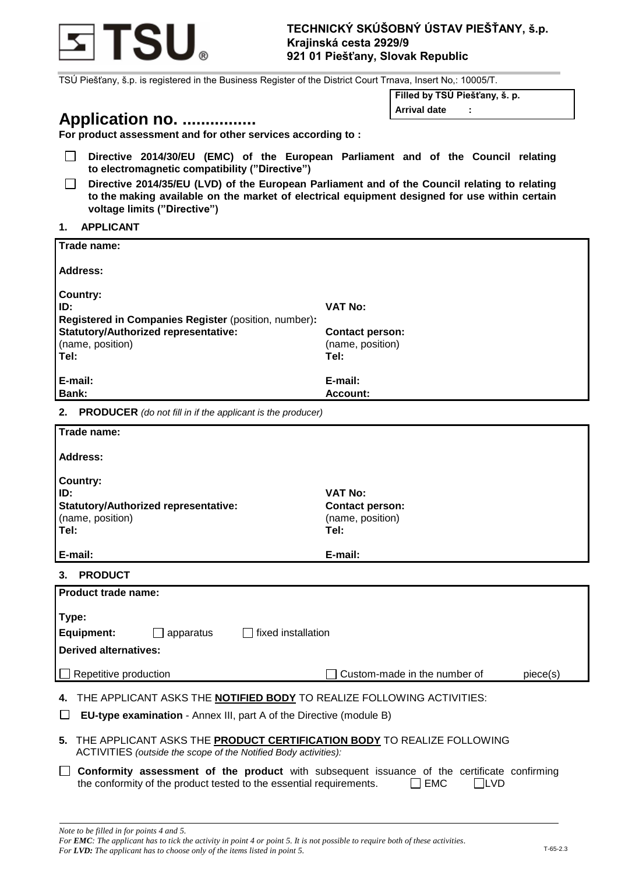

TSÚ Piešťany, š.p. is registered in the Business Register of the District Court Trnava, Insert No,: 10005/T.

# **Application no. ................**

**Filled by TSÚ Piešťany, š. p.**

**Arrival date :**

| ____ |                                                             |  |  |  |
|------|-------------------------------------------------------------|--|--|--|
|      | For product assessment and for other services according to: |  |  |  |

- $\Box$ **Directive 2014/30/EU (EMC) of the European Parliament and of the Council relating to electromagnetic compatibility ("Directive")**
- **Directive 2014/35/EU (LVD) of the European Parliament and of the Council relating to relating**   $\Box$ **to the making available on the market of electrical equipment designed for use within certain voltage limits ("Directive")**

### **1. APPLICANT**

| Trade name:                                          |                        |
|------------------------------------------------------|------------------------|
| Address:                                             |                        |
| <b>Country:</b>                                      |                        |
| ID:                                                  | <b>VAT No:</b>         |
| Registered in Companies Register (position, number): |                        |
| <b>Statutory/Authorized representative:</b>          | <b>Contact person:</b> |
| (name, position)                                     | (name, position)       |
| Tel:                                                 | Tel:                   |
| E-mail:                                              | E-mail:                |
| Bank:                                                | Account:               |
|                                                      |                        |

**2. PRODUCER** *(do not fill in if the applicant is the producer)*

| Trade name:                                                                                                                                                                                                                                                                                                                                                                                                         |                                                                      |  |  |  |  |  |  |
|---------------------------------------------------------------------------------------------------------------------------------------------------------------------------------------------------------------------------------------------------------------------------------------------------------------------------------------------------------------------------------------------------------------------|----------------------------------------------------------------------|--|--|--|--|--|--|
| Address:                                                                                                                                                                                                                                                                                                                                                                                                            |                                                                      |  |  |  |  |  |  |
| <b>Country:</b><br>ID:<br><b>Statutory/Authorized representative:</b><br>(name, position)<br>Tel:                                                                                                                                                                                                                                                                                                                   | <b>VAT No:</b><br><b>Contact person:</b><br>(name, position)<br>Tel: |  |  |  |  |  |  |
| E-mail:                                                                                                                                                                                                                                                                                                                                                                                                             | E-mail:                                                              |  |  |  |  |  |  |
| <b>PRODUCT</b><br>3.                                                                                                                                                                                                                                                                                                                                                                                                |                                                                      |  |  |  |  |  |  |
| Product trade name:                                                                                                                                                                                                                                                                                                                                                                                                 |                                                                      |  |  |  |  |  |  |
| Type:<br>fixed installation<br><b>Equipment:</b><br>apparatus<br><b>Derived alternatives:</b>                                                                                                                                                                                                                                                                                                                       |                                                                      |  |  |  |  |  |  |
| Repetitive production                                                                                                                                                                                                                                                                                                                                                                                               | Custom-made in the number of<br>piece(s)                             |  |  |  |  |  |  |
| THE APPLICANT ASKS THE <b>NOTIFIED BODY</b> TO REALIZE FOLLOWING ACTIVITIES:<br><b>EU-type examination</b> - Annex III, part A of the Directive (module B)<br>THE APPLICANT ASKS THE PRODUCT CERTIFICATION BODY TO REALIZE FOLLOWING<br>5.<br>ACTIVITIES (outside the scope of the Notified Body activities):<br><b>Conformity assessment of the product</b> with subsequent issuance of the certificate confirming |                                                                      |  |  |  |  |  |  |
| the conformity of the product tested to the essential requirements.                                                                                                                                                                                                                                                                                                                                                 | <b>EMC</b><br><b>LVD</b>                                             |  |  |  |  |  |  |